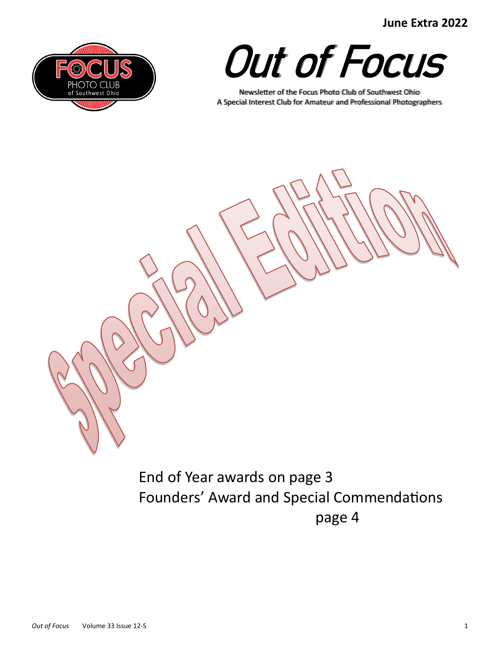**June Extra 2022**





Newsletter of the Focus Photo Club of Southwest Ohio A Special Interest Club for Amateur and Professional Photographers



End of Year awards on page 3 Founders' Award and Special Commendations page 4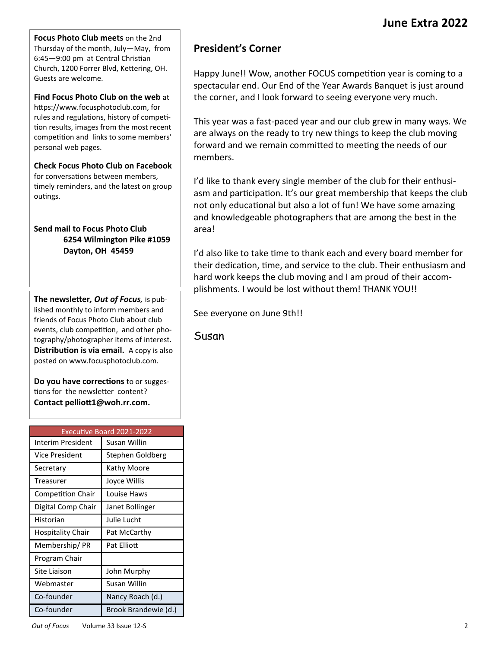**Focus Photo Club meets** on the 2nd Thursday of the month, July—May, from 6:45—9:00 pm at Central Christian Church, 1200 Forrer Blvd, Kettering, OH. Guests are welcome.

**Find Focus Photo Club on the web** at https://www.focusphotoclub.com, for rules and regulations, history of competition results, images from the most recent competition and links to some members' personal web pages.

**Check Focus Photo Club on Facebook**  for conversations between members, timely reminders, and the latest on group outings.

#### **Send mail to Focus Photo Club 6254 Wilmington Pike #1059 Dayton, OH 45459**

**The newsletter***, Out of Focus,* is published monthly to inform members and friends of Focus Photo Club about club events, club competition, and other photography/photographer items of interest. **Distribution is via email.** A copy is also posted on www.focusphotoclub.com.

**Do you have corrections** to or suggestions for the newsletter content? **Contact pelliott1@woh.rr.com.**

| <b>Executive Board 2021-2022</b> |                      |  |
|----------------------------------|----------------------|--|
| Interim President                | Susan Willin         |  |
| Vice President                   | Stephen Goldberg     |  |
| Secretary                        | Kathy Moore          |  |
| Treasurer                        | Joyce Willis         |  |
| <b>Competition Chair</b>         | Louise Haws          |  |
| Digital Comp Chair               | Janet Bollinger      |  |
| Historian                        | Julie Lucht          |  |
| Hospitality Chair                | Pat McCarthy         |  |
| Membership/PR                    | Pat Flliott          |  |
| Program Chair                    |                      |  |
| Site Liaison                     | John Murphy          |  |
| Webmaster                        | Susan Willin         |  |
| Co-founder                       | Nancy Roach (d.)     |  |
| Co-founder                       | Brook Brandewie (d.) |  |

# **President's Corner**

Happy June!! Wow, another FOCUS competition year is coming to a spectacular end. Our End of the Year Awards Banquet is just around the corner, and I look forward to seeing everyone very much.

This year was a fast-paced year and our club grew in many ways. We are always on the ready to try new things to keep the club moving forward and we remain committed to meeting the needs of our members.

I'd like to thank every single member of the club for their enthusiasm and participation. It's our great membership that keeps the club not only educational but also a lot of fun! We have some amazing and knowledgeable photographers that are among the best in the area!

I'd also like to take time to thank each and every board member for their dedication, time, and service to the club. Their enthusiasm and hard work keeps the club moving and I am proud of their accomplishments. I would be lost without them! THANK YOU!!

See everyone on June 9th!!

Susan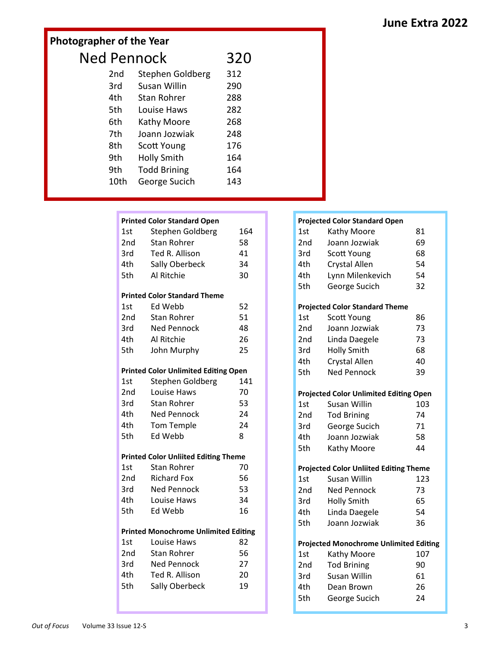# **June Extra 2022**

# **Photographer of the Year** Ned Pennock 320<br>
2nd Staphen Goldberg 312 Stephen Goldberg 312

| znu  | Stephen Goldberg    | 31Z |
|------|---------------------|-----|
| 3rd  | Susan Willin        | 290 |
| 4th  | <b>Stan Rohrer</b>  | 288 |
| 5th  | Louise Haws         | 282 |
| 6th  | Kathy Moore         | 268 |
| 7th  | Joann Jozwiak       | 248 |
| 8th  | Scott Young         | 176 |
| 9th  | <b>Holly Smith</b>  | 164 |
| 9th  | <b>Todd Brining</b> | 164 |
| 10th | George Sucich       | 143 |

#### **Printed Color Standard Open**

| 1st   | Stephen Goldberg                    | 164 |
|-------|-------------------------------------|-----|
| 2nd   | <b>Stan Rohrer</b>                  | 58  |
| 3rd   | Ted R. Allison                      | 41  |
| 4th   | Sally Oberbeck                      | 34  |
| 5th   | Al Ritchie                          | 30  |
|       | <b>Printed Color Standard Theme</b> |     |
| $1c+$ | $FA$ Wahh                           |     |

| 1st | Ed Webb            | 52 |
|-----|--------------------|----|
| 2nd | <b>Stan Rohrer</b> | 51 |
| 3rd | <b>Ned Pennock</b> | 48 |
| 4th | Al Ritchie         | 26 |
| 5th | John Murphy        | 25 |
|     |                    |    |

#### **Printed Color Unlimited Editing Open**

| 1st | Stephen Goldberg   | 141 |
|-----|--------------------|-----|
| 2nd | Louise Haws        | 70  |
| 3rd | Stan Rohrer        | 53  |
| 4th | <b>Ned Pennock</b> | 24  |
| 4th | Tom Temple         | 24  |
| 5th | Ed Webb            | 8   |
|     |                    |     |

#### **Printed Color Unliited Editing Theme**

| 1st | Stan Rohrer        | 70 |
|-----|--------------------|----|
| 2nd | <b>Richard Fox</b> | 56 |
| 3rd | Ned Pennock        | 53 |
| 4th | Louise Haws        | 34 |
| 5th | Ed Webb            | 16 |

#### **Printed Monochrome Unlimited Editing**

| 1st             | Louise Haws        | 82 |
|-----------------|--------------------|----|
| 2 <sub>nd</sub> | Stan Rohrer        | 56 |
| 3rd             | <b>Ned Pennock</b> | 27 |
| 4th             | Ted R. Allison     | 20 |
| 5th             | Sally Oberbeck     | 19 |

#### **Projected Color Standard Open**

| 1st  | Kathy Moore                                   | 81  |
|------|-----------------------------------------------|-----|
| 2nd  | Joann Jozwiak                                 | 69  |
| 3rd  | Scott Young                                   | 68  |
| 4th  | <b>Crystal Allen</b>                          | 54  |
| 4th  | Lynn Milenkevich                              | 54  |
| 5th  | George Sucich                                 | 32  |
|      | <b>Projected Color Standard Theme</b>         |     |
| 1st  | <b>Scott Young</b>                            | 86  |
| 2nd  | Joann Jozwiak                                 | 73  |
| 2nd  | Linda Daegele                                 | 73  |
| 3rd  | <b>Holly Smith</b>                            | 68  |
| 4th. | <b>Crystal Allen</b>                          | 40  |
| 5th  | <b>Ned Pennock</b>                            | 39  |
|      | <b>Projected Color Unlimited Editing Open</b> |     |
| 1st  | Susan Willin                                  | 103 |
| 2nd  | <b>Tod Brining</b>                            | 74  |
| 3rd  | George Sucich                                 | 71  |
| 4th  | Joann Jozwiak                                 | 58  |
| 5th  | Kathy Moore                                   | 44  |
|      | <b>Projected Color Unliited Editing Theme</b> |     |
| 1st  | <b>Susan Willin</b>                           | 123 |
| 2nd  | <b>Ned Pennock</b>                            | 73  |
| 3rd  | <b>Holly Smith</b>                            | 65  |
| 4th. | Linda Daegele                                 | 54  |
| 5th  | Joann Jozwiak                                 | 36  |
|      | <b>Projected Monochrome Unlimited Editing</b> |     |
| 1st  | Kathy Moore                                   | 107 |
| 2nd  | <b>Tod Brining</b>                            | 90  |
| 3rd  | <b>Susan Willin</b>                           | 61  |
| 4th  | Dean Brown                                    | 26  |
| 5th  | George Sucich                                 | 24  |